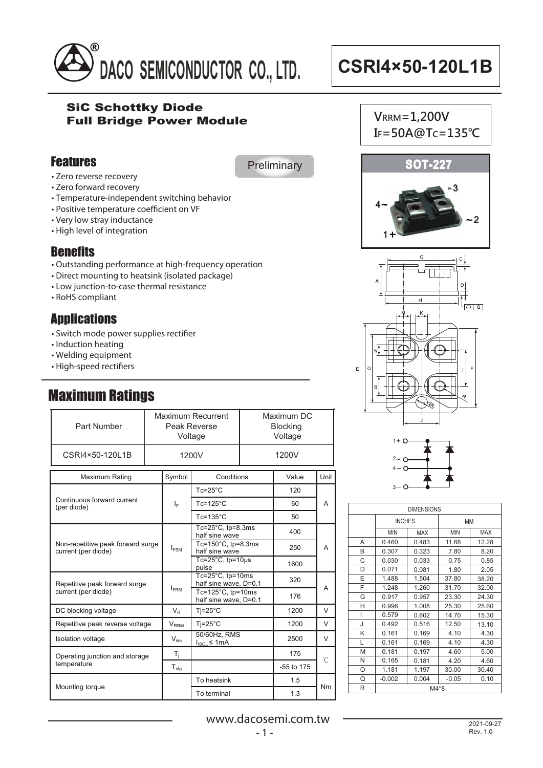

### SiC Schottky Diode Full Bridge Power Module

### Features

**Preliminary** 

- Zero reverse recovery
- Zero forward recovery
- Temperature-independent switching behavior
- Positive temperature coefficient on VF
- Very low stray inductance
- High level of integration

## **Benefits**

- Outstanding performance at high-frequency operation
- Direct mounting to heatsink (isolated package)
- Low junction-to-case thermal resistance
- $\cdot$  RoHS compliant

# **Applications**

- Switch mode power supplies rectifier
- Induction heating
- Welding equipment
- High-speed rectifiers

# Maximum Ratings

| Part Number                                              | Maximum Recurrent<br>Peak Reverse<br>Voltage |                         |                                                     |  | Maximum DC<br><b>Blocking</b><br>Voltage |        |  |
|----------------------------------------------------------|----------------------------------------------|-------------------------|-----------------------------------------------------|--|------------------------------------------|--------|--|
| CSRI4×50-120L1B                                          |                                              | 1200V                   |                                                     |  | 1200V                                    |        |  |
| Maximum Rating                                           |                                              | Symbol                  | Conditions                                          |  | Value                                    | Unit   |  |
|                                                          |                                              |                         | $Tc = 25^{\circ}C$                                  |  | 120                                      |        |  |
| Continuous forward current<br>(per diode)                |                                              | ΙF                      | $Tc = 125^{\circ}C$                                 |  | 60                                       | A      |  |
|                                                          |                                              |                         | $Tc = 135^{\circ}C$                                 |  | 50                                       |        |  |
| Non-repetitive peak forward surge<br>current (per diode) |                                              |                         | Tc= $25^{\circ}$ C, tp= $8.3$ ms<br>half sine wave  |  | 400                                      |        |  |
|                                                          |                                              | $I_{FSM}$               | Tc=150 $^{\circ}$ C, tp=8.3ms<br>half sine wave     |  | 250                                      | А      |  |
|                                                          |                                              |                         | Tc= $25^{\circ}$ C, tp= $10\mu s$<br>pulse          |  | 1600                                     |        |  |
| Repetitive peak forward surge<br>current (per diode)     |                                              |                         | $Tc=25^{\circ}C$ , tp=10ms<br>half sine wave, D=0.1 |  | 320                                      |        |  |
|                                                          |                                              | <b>IFRM</b>             | Tc=125 $°C$ , tp=10ms<br>half sine wave, D=0.1      |  | 176                                      | A      |  |
| DC blocking voltage                                      |                                              | $V_{R}$                 | $Ti=25^{\circ}C$                                    |  | 1200                                     | $\vee$ |  |
| Repetitive peak reverse voltage                          |                                              | <b>V</b> <sub>RRM</sub> | $Ti=25^{\circ}C$                                    |  | 1200                                     | $\vee$ |  |
| <b>Isolation voltage</b>                                 |                                              | $V_{\text{ion}}$        | 50/60Hz, RMS<br>$I_{ISOL} \leq 1mA$                 |  | 2500                                     | V      |  |
| Operating junction and storage<br>temperature            |                                              | $T_i$                   |                                                     |  | 175                                      | °C     |  |
|                                                          |                                              | $T_{\text{stg}}$        |                                                     |  | -55 to 175                               |        |  |
| Mounting torque                                          |                                              |                         | To heatsink                                         |  | 1.5                                      | Nm     |  |
|                                                          |                                              |                         | To terminal                                         |  | 1.3                                      |        |  |









| <b>DIMENSIONS</b> |               |            |            |            |  |
|-------------------|---------------|------------|------------|------------|--|
|                   | <b>INCHES</b> |            | MM         |            |  |
|                   | <b>MIN</b>    | <b>MAX</b> | <b>MIN</b> | <b>MAX</b> |  |
| A                 | 0.460         | 0.483      | 11.68      | 12.28      |  |
| В                 | 0.307         | 0.323      | 7.80       | 8.20       |  |
| C                 | 0.030         | 0.033      | 0.75       | 0.85       |  |
| D                 | 0.071         | 0.081      | 1.80       | 2.05       |  |
| E                 | 1.488         | 1.504      | 37.80      | 38.20      |  |
| F                 | 1.248         | 1.260      | 31.70      | 32.00      |  |
| G                 | 0.917         | 0.957      | 23.30      | 24.30      |  |
| н                 | 0.996         | 1.008      | 25.30      | 25.60      |  |
| I                 | 0.579         | 0.602      | 14.70      | 15.30      |  |
| J                 | 0.492         | 0.516      | 12.50      | 13.10      |  |
| Κ                 | 0.161         | 0.169      | 4.10       | 4.30       |  |
| L                 | 0.161         | 0.169      | 4.10       | 4.30       |  |
| M                 | 0.181         | 0.197      | 4.60       | 5.00       |  |
| N                 | 0.165         | 0.181      | 4.20       | 4.60       |  |
| O                 | 1.181         | 1.197      | 30.00      | 30.40      |  |
| Q                 | $-0.002$      | 0.004      | $-0.05$    | 0.10       |  |
| R                 | M4*8          |            |            |            |  |

www.dacosemi.com.tw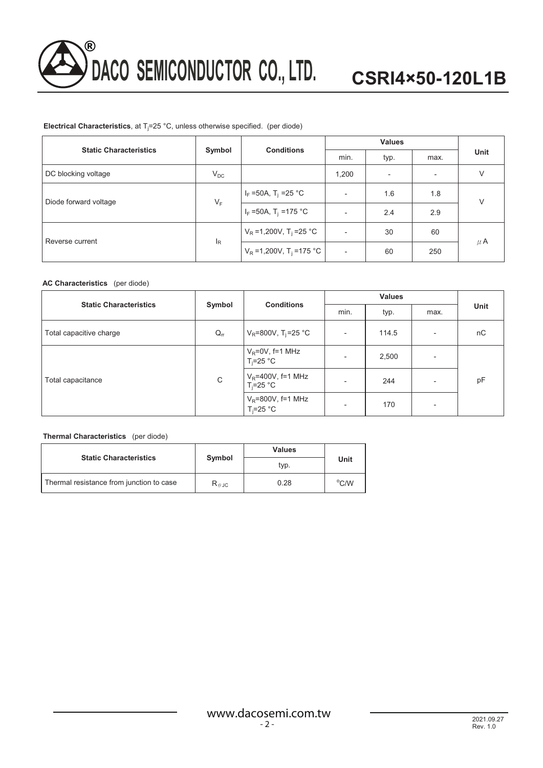

### **Electrical Characteristics**, at Tj =25 °C, unless otherwise specified. (per diode)

| <b>Static Characteristics</b> |                           | <b>Conditions</b>                     | <b>Values</b> |      |                          |         |
|-------------------------------|---------------------------|---------------------------------------|---------------|------|--------------------------|---------|
|                               | Symbol                    |                                       | min.          | typ. | max.                     | Unit    |
| DC blocking voltage           | $V_{DC}$                  |                                       | 1,200         |      | $\overline{\phantom{0}}$ | V       |
| Diode forward voltage         | $V_F$                     | $I_F = 50A$ , T <sub>i</sub> = 25 °C  |               | 1.6  | 1.8                      | $\vee$  |
|                               |                           | $I_F = 50A$ , T <sub>i</sub> = 175 °C |               | 2.4  | 2.9                      |         |
| Reverse current               |                           | $V_R = 1,200V, T_i = 25 °C$           |               | 30   | 60                       | $\mu$ A |
|                               | $\mathsf{I}_{\mathsf{R}}$ | $V_R = 1,200V, T_i = 175 °C$          |               | 60   | 250                      |         |

### **AC Characteristics** (per diode)

| <b>Static Characteristics</b> | Symbol                     | <b>Conditions</b>                     |                          | <b>Values</b> |                          |      |
|-------------------------------|----------------------------|---------------------------------------|--------------------------|---------------|--------------------------|------|
|                               |                            |                                       | min.                     | typ.          | max.                     | Unit |
| Total capacitive charge       | $\mathsf{Q}_{\mathsf{rr}}$ | $V_R = 800V$ , T <sub>i</sub> =25 °C  | $\overline{\phantom{a}}$ | 114.5         | ٠                        | nC   |
| Total capacitance             |                            | $V_R = 0V$ , f=1 MHz<br>$T_i = 25$ °C | $\overline{\phantom{a}}$ | 2,500         | $\overline{\phantom{0}}$ | pF   |
|                               | C                          | $V_R$ =400V, f=1 MHz<br>$T_i = 25$ °C | -                        | 244           | $\overline{\phantom{a}}$ |      |
|                               |                            | $V_R$ =800V, f=1 MHz<br>$T_i = 25$ °C | $\overline{\phantom{a}}$ | 170           | $\overline{\phantom{0}}$ |      |

### **Thermal Characteristics** (per diode)

| <b>Static Characteristics</b>            |                                 | Values | Unit           |  |
|------------------------------------------|---------------------------------|--------|----------------|--|
|                                          | Symbol                          | typ.   |                |  |
| Thermal resistance from junction to case | $\mathsf{R}_{\theta\text{-JC}}$ | 0.28   | $\rm ^{o}$ C/W |  |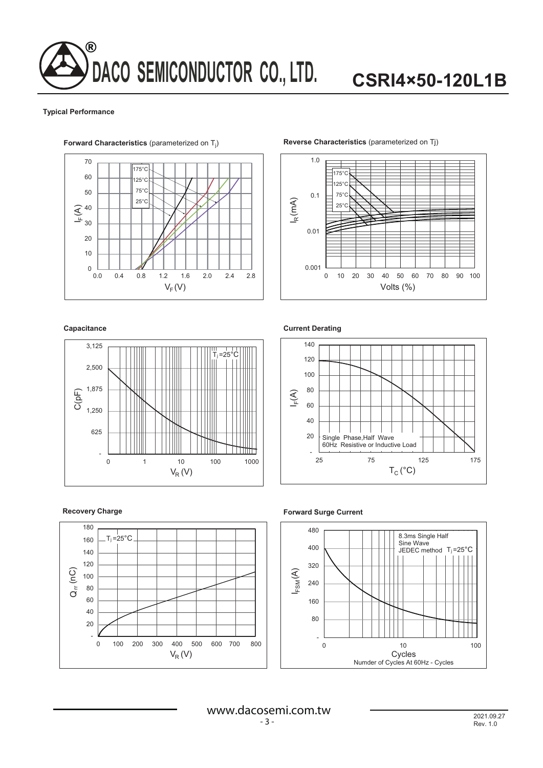# **DACO SEMICONDUCTOR CO., LTD.** ®

# **CSRI4×50-120L1B**

#### **Typical Performance**



### ) **Reverse Characteristics** (parameterized on Tj)



#### **Capacitance**



### **Recovery Charge**











www.dacosemi.com.tw - 3 -